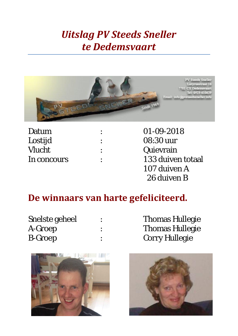## *Uitslag PV Steeds Sneller te Dedemsvaart*



| Datum       | $01 - 09 - 2018$  |
|-------------|-------------------|
| Lostijd     | 08:30 uur         |
| Vlucht      | Quievrain         |
| In concours | 133 duiven totaal |
|             | 107 duiven A      |
|             | 26 duiven B       |

## **De winnaars van harte gefeliciteerd.**

| Snelste geheel | <b>Thomas Hullegie</b> |
|----------------|------------------------|
| A-Groep        | <b>Thomas Hullegie</b> |
| B-Groep        | Corry Hullegie         |



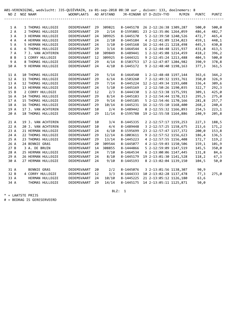|      |  |                    |                    | A01-VERENIGING, wedvlucht: J35-QUIÉVRAIN, za 01-sep-2018 08:30 uur , duiven: 133, deelnemers: 8 |    |            |                            |                         |       |              |              |
|------|--|--------------------|--------------------|-------------------------------------------------------------------------------------------------|----|------------|----------------------------|-------------------------|-------|--------------|--------------|
|      |  | NO Z NOZ NAAM      |                    | <b>WOONPLAATS</b>                                                                               |    | AD AFSTAND |                            | JR-RINGNR GT D-ZUIV-TYD | M/MIN | <b>PUNTC</b> | <b>PUNTZ</b> |
|      |  |                    |                    | ----------------------                                                                          |    |            | -------------------------- |                         |       |              |              |
| 1A   |  |                    | 1 THOMAS HULLEGIE  | DEDEMSVAART                                                                                     | 29 | 309821     | 8-1445178                  | 26 2-12:26:38 1309,287  |       | 500,0        | 500,0        |
| 2A   |  |                    | 2 THOMAS HULLEGIE  | DEDEMSVAART                                                                                     | 29 | 2/14       | 8-1595801                  | 23 2-12:35:06 1264,059  |       | 486,4        | 482,7        |
| 3 A  |  |                    | 3 HERMAN HULLEGIE  | DEDEMSVAART                                                                                     | 24 | 309925     | 8-1445170                  | 5 2-12:39:50 1240,526   |       | 472,7        | 465,4        |
| 4A   |  |                    | 4 HERMAN HULLEGIE  | DEDEMSVAART                                                                                     | 24 | 2/10       | 8-1445184                  | 4 2-12:41:09 1234,023   |       | 459,1        | 448,1        |
| 5 A  |  |                    | 5 HERMAN HULLEGIE  | DEDEMSVAART                                                                                     | 24 | 3/10       | 8-1445168                  | 16 2-12:44:21 1218,498  |       | 445,5        | 430,8        |
| 6 A  |  |                    | 6 THOMAS HULLEGIE  | DEDEMSVAART                                                                                     | 29 | 3/14       | 8-1464544                  | 6 2-12:44:48 1215,937   |       | 431,8        | 413,5        |
| 7 A  |  |                    | 7 J. VAN ACHTEREN  | DEDEMSVAART                                                                                     | 10 | 309849     | 8-1489441                  | 1 2-12:45:08 1214,459   |       | 418,2        | 396, 2       |
| 8 B  |  |                    | 1 CORRY HULLEGIE   | DEDEMSVAART                                                                                     | 12 | 309925     | 8-1444321                  | 9 2-12:45:24 1213,488   |       | 404,5        | 500,0        |
| 9 A  |  |                    | 8 THOMAS HULLEGIE  | DEDEMSVAART                                                                                     | 29 | 4/14       | 8-1503753                  | 17 2-12:47:07 1204,982  |       | 390,9        | 378,8        |
| 10 A |  |                    | 9 HERMAN HULLEGIE  | DEDEMSVAART                                                                                     | 24 | 4/10       | 8-1445172                  | 9 2-12:48:40 1198,163   |       | 377,3        | 361,5        |
|      |  |                    |                    |                                                                                                 |    |            |                            |                         |       |              |              |
| 11 A |  |                    | 10 THOMAS HULLEGIE | DEDEMSVAART                                                                                     | 29 | 5/14       | 8-1464540                  | 1 2-12:48:48 1197,144   |       | 363,6        | 344,2        |
| 12 A |  |                    | 11 THOMAS HULLEGIE | DEDEMSVAART                                                                                     | 29 | 6/14       | 8-1503260                  | 7 2-12:49:32 1193,761   |       | 350,0        | 326,9        |
| 13 A |  |                    | 12 THOMAS HULLEGIE | DEDEMSVAART                                                                                     | 29 | 7/14       | 8-1445224                  | 12 2-12:49:34 1193,608  |       | 336,4        | 309,6        |
| 14 A |  |                    | 13 HERMAN HULLEGIE | DEDEMSVAART                                                                                     | 24 | 5/10       | 8-1445169                  | 2 2-12:50:26 1190,035   |       | 322,7        | 292,3        |
| 15 B |  |                    | 2 CORRY HULLEGIE   | DEDEMSVAART                                                                                     | 12 | 2/3        | 8-1444330                  | 1 2-12:53:38 1175,591   |       | 309,1        | 425,0        |
| 16 A |  |                    | 14 THOMAS HULLEGIE | DEDEMSVAART                                                                                     | 29 | 8/14       | 8-1445183                  | 3 2-12:54:44 1170,313   |       | 295,5        | 275,0        |
| 17 A |  |                    | 15 THOMAS HULLEGIE | DEDEMSVAART                                                                                     | 29 | 9/14       | 8-1445185                  | 5 2-12:54:46 1170,166   |       | 281,8        | 257,7        |
| 18 A |  |                    | 16 THOMAS HULLEGIE | DEDEMSVAART                                                                                     | 29 | 10/14      | 8-1445231                  | 16 2-12:55:10 1168,400  |       | 268,2        | 240,4        |
| 19 A |  |                    | 17 J. VAN ACHTEREN | DEDEMSVAART                                                                                     | 10 | 2/4        | 8-1489442                  | 8 2-12:55:32 1166,893   |       | 254,5        | 223,1        |
| 20 A |  |                    | 18 THOMAS HULLEGIE | DEDEMSVAART                                                                                     | 29 | 11/14      | 8-1595788                  | 19 2-12:55:58 1164,886  |       | 240,9        | 205,8        |
| 21 A |  |                    | 19 J. VAN ACHTEREN | DEDEMSVAART                                                                                     | 10 | 3/4        | 8-1445335                  | 2 2-12:57:17 1159,253   |       | 227,3        | 188,5        |
| 22 A |  |                    | 20 J. VAN ACHTEREN | DEDEMSVAART                                                                                     | 10 | 4/4        | 8-1489448                  | 3 2-12:57:25 1158,675   |       | 213,6        | 171,2        |
| 23 A |  |                    | 21 HERMAN HULLEGIE | DEDEMSVAART                                                                                     | 24 | 6/10       | 8-1595699                  | 23 2-12:57:47 1157,372  |       | 200,0        | 153,8        |
| 24 A |  |                    | 22 THOMAS HULLEGIE | DEDEMSVAART                                                                                     | 29 | 12/14      | 8-1003611                  | 9 2-12:57:52 1156,623   |       | 186,4        | 136,5        |
| 25 A |  |                    | 23 THOMAS HULLEGIE | DEDEMSVAART                                                                                     | 29 | 13/14      | 8-1445223                  | 4 2-12:57:55 1156,408   |       | 172,7        | 119,2        |
| 26 A |  | 24 BENNIE GRAS     |                    | DEDEMSVAART                                                                                     | 20 | 309544     | 8-1445077                  | 4 2-12:59:03 1150,506   |       | 159,1        | 101,9        |
| 27B  |  | 3 A. DE BRUIN      |                    | DEDEMSVAART                                                                                     | 14 | 308855     | 8-1444866                  | 5 2-12:59:09 1147,519   |       | 145,5        | 350,0        |
| 28 A |  |                    | 25 HERMAN HULLEGIE | DEDEMSVAART                                                                                     | 24 | 7/10       | 8-1464534                  | 6 2-13:00:06 1147,445   |       | 131,8        | 84,6         |
| 29 A |  |                    | 26 HERMAN HULLEGIE | DEDEMSVAART                                                                                     | 24 | 8/10       | 8-1445179                  | 19 2-13:01:30 1141,528  |       | 118, 2       | 67,3         |
| 30 A |  |                    | 27 HERMAN HULLEGIE | DEDEMSVAART                                                                                     | 24 | 9/10       | 8-1445193                  | 8 2-13:02:04 1139,150   |       | 104,5        | 50,0         |
|      |  |                    |                    |                                                                                                 |    |            |                            |                         |       |              |              |
| 31 A |  | <b>BENNIE GRAS</b> |                    | DEDEMSVAART                                                                                     | 20 | 2/2        | 8-1445076                  | 3 2-13:01:56 1138,307   |       | 90,9         |              |
| 32 B |  |                    | 4 CORRY HULLEGIE   | DEDEMSVAART                                                                                     | 12 | 3/3        | 8-1444333                  | 10 2-13:02:28 1137,478  |       | 77,3         | 275,0        |
| 33 A |  |                    | HERMAN HULLEGIE    | DEDEMSVAART                                                                                     | 24 | 10/10      | 8-1445225                  | 21 2-13:05:12 1126,180  |       | 63,6         |              |
| 34 A |  |                    | THOMAS HULLEGIE    | DEDEMSVAART                                                                                     | 29 | 14/14      | 8-1445175                  | 14 2-13:05:11 1125,871  |       | 50,0         |              |

BLZ: 1

\* = LAATSTE PRIJS

# = BEDRAG IS GERESERVEERD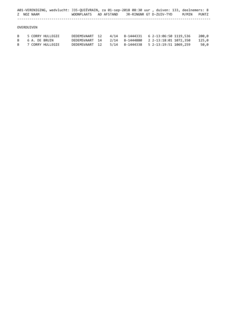|    |            | A01-VERENIGING, wedvlucht: J35-QUIÉVRAIN, za 01-sep-2018 08:30 uur , duiven: 133, deelnemers: 8 |                |      |            |           |  |                         |       |       |
|----|------------|-------------------------------------------------------------------------------------------------|----------------|------|------------|-----------|--|-------------------------|-------|-------|
|    | Z NOZ NAAM |                                                                                                 | WOONPLAATS     |      | AD AFSTAND |           |  | JR-RINGNR GT D-ZUIV-TYD | M/MIN | PUNTZ |
|    |            |                                                                                                 |                |      |            |           |  |                         |       |       |
|    | OVERDUIVEN |                                                                                                 |                |      |            |           |  |                         |       |       |
|    |            |                                                                                                 |                |      |            |           |  |                         |       |       |
| B. |            | 5 CORRY HULLEGIE                                                                                | DEDEMSVAART 12 |      | 4/14       | 8-1444331 |  | 6 2-13:06:50 1119,536   |       | 200,0 |
| B  |            | 6 A. DE BRUIN                                                                                   | DEDEMSVAART    | - 14 | 2/14       | 8-1444880 |  | 2 2-13:18:01 1072.350   |       | 125,0 |
| B. |            | 7 CORRY HULLEGIE                                                                                | DEDEMSVAART 12 |      | 5/14       | 8-1444338 |  | 5 2-13:19:51 1069,259   |       | 50,0  |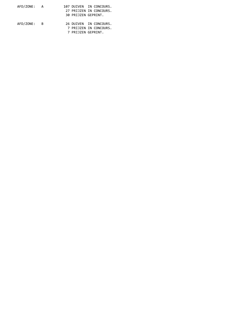| AFD/ZONE: A |  | 107 DUIVEN IN CONCOURS. |
|-------------|--|-------------------------|
|             |  | 27 PRIJZEN IN CONCOURS. |
|             |  | 30 PRIJZEN GEPRINT.     |
| AFD/ZONE: B |  | 26 DUIVEN IN CONCOURS.  |
|             |  | 7 PRIJZEN IN CONCOURS.  |
|             |  | 7 PRIJZEN GEPRINT.      |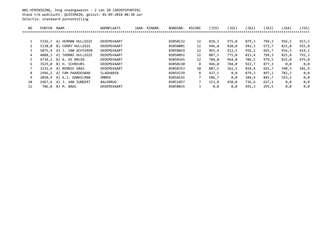A01-VERENIGING, Jong onaangewezen - 2 van 20 (GROEPSPUNTEN) Stand t/m wedvlucht: QUIÉVRAIN, gelost: 01-09-2018 08:30 uur Selectie: standaard puntentelling

| NO | <b>PUNTEN</b> | <b>NAAM</b>           | <b>WOONPLAATS</b> | JAAR- RINGNR. | BONDSNR. | #SCORE | (J59) | 〔J61〕 | (J62) | (J63) | ์ J64) | $($ J35) |
|----|---------------|-----------------------|-------------------|---------------|----------|--------|-------|-------|-------|-------|--------|----------|
|    |               |                       |                   |               |          |        |       |       |       |       |        | *****    |
|    |               |                       |                   |               |          |        |       |       |       |       |        |          |
|    | 5336.7        | HERMAN HULLEGIE<br>A) | DEDEMSVAART       |               | 03050132 | 12     | 818,3 | 975,0 | 879,3 | 794,3 | 956,5  | 913,5    |
| ∠  | 5130,0        | B) CORRY HULLEGIE     | DEDEMSVAART       |               | 03050001 | 12     | 946,0 | 820,0 | 941,3 | 672,7 | 825,0  | 925,0    |
|    | 5075.4        | A) J. VAN ACHTEREN    | DEDEMSVAART       |               | 03050019 | 12     | 965,4 | 912,5 | 956,1 | 665,7 | 956,5  | 619, 2   |
| 4  | 4888.3        | A) THOMAS HULLEGIE    | DEDEMSVAART       |               | 03050892 | 12     | 887,5 | 775,0 | 813,4 | 794,3 | 825,8  | 792,3    |
|    | 4734,1        | B) A. DE BRUIN        | DEDEMSVAART       |               | 03050345 | 12     | 784,0 | 964,0 | 706,5 | 979,5 | 825,0  | 475,0    |
| 6  | 3529.0        | B) H. SCHREURS        | DEDEMSVAART       |               | 03050230 | 8      | 946,0 | 784,0 | 921,7 | 877,3 | 0,0    | 0,0      |
|    | 3232.4        | BENNIE GRAS<br>A)     | DEDEMSVAART       |               | 03050353 | 10     | 887,5 | 362,5 | 824,4 | 665,7 | 390,3  | 101,9    |
| 8  | 2996,2        | A) FAM PAARDEHAAR     | SLAGHAREN         |               | 03059239 | 8      | 437,5 | 0,0   | 879,3 | 897,1 | 782,3  | 0,0      |
| 9  | 2050.9        | A) A.J. DANKELMAN     | <b>OMMEN</b>      |               | 03050141 |        | 506,7 | 0.0   | 104,9 | 845,7 | 593,5  | 0,0      |
| 10 | 1967.6        | A) J. VAN ZUNDERT     | <b>BALKBRUG</b>   |               | 03051057 |        | 153,8 | 450,0 | 736,6 | 627,1 | 0,0    | 0,0      |
| 11 | 786,8         | B) M. BAAS            | DEDEMSVAART       |               | 03050035 |        | 0,0   | 0,0   | 491,3 | 295,5 | 0,0    | 0,0      |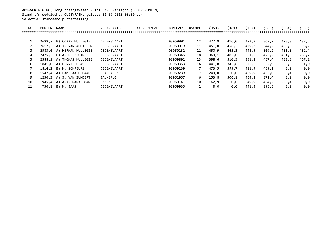A01-VERENIGING, Jong onaangewezen - 1:10 NPO verfijnd (GROEPSPUNTEN) Stand t/m wedvlucht: QUIÉVRAIN, gelost: 01-09-2018 08:30 uur Selectie: standaard puntentelling

| NO. | <b>PUNTEN</b> | NAAM                 | <b>WOONPLAATS</b>  | JAAR- RINGNR. | BONDSNR. | #SCORE | (J59) | 〔J61〕 | (J62) | (J63)  | J64)  | (J35) |
|-----|---------------|----------------------|--------------------|---------------|----------|--------|-------|-------|-------|--------|-------|-------|
|     |               |                      |                    |               |          |        |       |       |       |        |       | ***** |
|     |               |                      |                    |               |          |        |       |       |       |        |       |       |
|     | 2688,7        | CORRY HULLEGIE<br>B) | DEDEMSVAART        |               | 03050001 | 12     | 477,8 | 416,0 | 473,9 | 362,7  | 470,8 | 487,5 |
| ∠   | 2612,3        | A) J. VAN ACHTEREN   | DEDEMSVAART        |               | 03050019 | 11     | 451,0 | 456,3 | 479,3 | 344,2  | 485,5 | 396,2 |
|     | 2583.6        | A) HERMAN HULLEGIE   | <b>DEDEMSVAART</b> |               | 03050132 | 21     | 450,9 | 463,3 | 446,5 | 369, 2 | 401,3 | 452,4 |
| 4   | 2425.3        | B) A. DE BRUIN       | DEDEMSVAART        |               | 03050345 | 18     | 369,1 | 482,0 | 361,5 | 475,2  | 451,8 | 285,7 |
| 5   | 2388.1        | A) THOMAS HULLEGIE   | DEDEMSVAART        |               | 03050892 | 23     | 398,6 | 310,5 | 351,2 | 457,4  | 403,2 | 467,2 |
| 6   | 1841.0        | BENNIE GRAS<br>A)    | DEDEMSVAART        |               | 03050353 | 16     | 441,8 | 345,8 | 375,6 | 332,9  | 293,9 | 51,0  |
|     | 1814,2        | B) H. SCHREURS       | DEDEMSVAART        |               | 03050230 |        | 473,5 | 399,7 | 481,9 | 459,1  | 0,0   | 0,0   |
| 8   | 1542.4        | A) FAM PAARDEHAAR    | <b>SLAGHAREN</b>   |               | 03059239 |        | 249,0 | 0.0   | 439,9 | 455,0  | 398,4 | 0,0   |
| 9   | 1236.3        | A) J. VAN ZUNDERT    | <b>BALKBRUG</b>    |               | 03051057 | 6      | 153,8 | 306,8 | 404,2 | 371,4  | 0,0   | 0,0   |
| 10  | 945,4         | A) A.J. DANKELMAN    | OMMEN              |               | 03050141 | 10     | 162,9 | 0,0   | 49,9  | 434,2  | 298,4 | 0,0   |
| 11  | 736,8         | B) M. BAAS           | DEDEMSVAART        |               | 03050035 |        | 0.0   | 0,0   | 441,3 | 295,5  | 0.0   | 0,0   |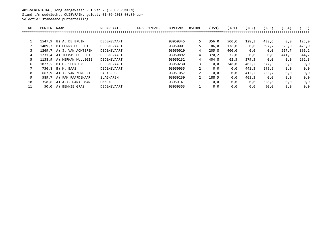A01-VERENIGING, Jong aangewezen - 1 van 2 (GROEPSPUNTEN) Stand t/m wedvlucht: QUIÉVRAIN, gelost: 01-09-2018 08:30 uur Selectie: standaard puntentelling

| NO. | <b>PUNTEN</b> | <b>NAAM</b>           | <b>WOONPLAATS</b>  | JAAR- RINGNR. | BONDSNR. | #SCORE | (J59) | (J61) | (J62) | (J63) | 〔J64〕 | (J35) |
|-----|---------------|-----------------------|--------------------|---------------|----------|--------|-------|-------|-------|-------|-------|-------|
|     |               |                       |                    |               |          |        |       |       |       |       |       |       |
|     |               |                       |                    |               |          |        |       |       |       |       |       |       |
| J.  | 1547.9        | B) A. DE BRUIN        | DEDEMSVAART        |               | 03050345 |        | 356,0 | 500,0 | 128,3 | 438,6 | 0.0   | 125,0 |
| 2   | 1409,7        | B) CORRY HULLEGIE     | DEDEMSVAART        |               | 03050001 |        | 86,0  | 176,0 | 0,0   | 397,7 | 325,0 | 425,0 |
|     | 1269.7        | A) J. VAN ACHTEREN    | DEDEMSVAART        |               | 03050019 | 4      | 205,8 | 400,0 | 0,0   | 0,0   | 267,7 | 396,2 |
| 4   | 1231.4        | THOMAS HULLEGIE<br>A) | DEDEMSVAART        |               | 03050892 | 4      | 370,2 | 75,0  | 0,0   | 0,0   | 441,9 | 344,2 |
| 5   | 1138.9        | A) HERMAN HULLEGIE    | DEDEMSVAART        |               | 03050132 | 4      | 404,8 | 62,5  | 379,3 | 0,0   | 0,0   | 292,3 |
| 6   | 1027.5        | B) H. SCHREURS        | DEDEMSVAART        |               | 03050230 |        | 0,0   | 248,0 | 402,2 | 377,3 | 0,0   | 0,0   |
|     | 736.8         | B) M. BAAS            | DEDEMSVAART        |               | 03050035 |        | 0,0   | 0.0   | 441,3 | 295,5 | 0,0   | 0,0   |
| 8   | 667.9         | A) J. VAN ZUNDERT     | BALKBRUG           |               | 03051057 |        | 0.0   | 0,0   | 412,2 | 255,7 | 0.0   | 0,0   |
| 9   | 589.7         | A) FAM PAARDEHAAR     | SLAGHAREN          |               | 03059239 |        | 188,5 | 0,0   | 401,2 | 0,0   | 0,0   | 0,0   |
| 10  | 358,6         | A) A.J. DANKELMAN     | OMMEN              |               | 03050141 |        | 0,0   | 0,0   | 0,0   | 358,6 | 0,0   | 0,0   |
| 11  | 50.0          | BENNIE GRAS<br>A)     | <b>DEDEMSVAART</b> |               | 03050353 |        | 0.0   | 0,0   | 0,0   | 50,0  | 0,0   | 0,0   |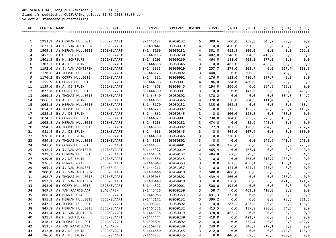A01-VERENIGING, Jong duifkampioen (GROEPSPUNTEN) Stand t/m wedvlucht: QUIÉVRAIN, gelost: 01-09-2018 08:30 uur Selectie: standaard puntentelling

| NO.            | PUNTEN | <b>NAAM</b>               | <b>WOONPLAATS</b> | JAAR- RINGNR. | BONDSNR. | #SCORE         | $($ 159 $)$ | $($ J61)                 | (162)  | $($ 163) | $($ 164)           | (J35) |
|----------------|--------|---------------------------|-------------------|---------------|----------|----------------|-------------|--------------------------|--------|----------|--------------------|-------|
|                |        |                           |                   |               |          |                |             | ************************ |        |          | ****************** | ***** |
| 1              | 1913,9 | A) HERMAN HULLEGIE        | DEDEMSVAART       | 8-1445182     | 03050132 | 5              | 309,6       | 500,0                    | 258,5  | 345,7    | 500,0              | 0,0   |
| $\overline{2}$ |        | 1623,1 A) J. VAN ACHTEREN | DEDEMSVAART       | 8-1489441     | 03050019 | 4              | 0,0         | 450,0                    | 291,5  | 0,0      | 485,5              | 396,2 |
| 3              |        | 1505,8 A) HERMAN HULLEGIE | DEDEMSVAART       | 8-1445169     | 03050132 | 4              | 301,0       | 412,5                    | 500,0  | 0,0      | 0,0                | 292,3 |
| 4              | 1452,5 | B) H. SCHREURS            | DEDEMSVAART       | 8-1445116     | 03050230 | 4              | 482,0       | 248,0                    | 304,3  | 418,2    | 0,0                | 0,0   |
| 5              |        | 1401,5 B) H. SCHREURS     | DEDEMSVAART       | 8-1445105     | 03050230 | 4              | 464,0       | 158,0                    | 402,2  | 377,3    | 0,0                | 0,0   |
| 6              |        | 1303,3 B) A. DE BRUIN     | DEDEMSVAART       | 8-1444858     | 03050345 | 3              | 0,0         | 482,0                    | 382,6  | 438,6    | 0,0                | 0,0   |
| 7              |        | 1192,6 A) J. VAN ACHTEREN | DEDEMSVAART       | 8-1445335     | 03050019 | 5              | 257,7       | 275,0                    | 203,7  | 0,0      | 267,7              | 188,5 |
| 8              |        | 1178,6 A) THOMAS HULLEGIE | DEDEMSVAART       | 8-1445173     | 03050892 | 3              | 448,1       | 0,0                      | 390,2  | 0,0      | 340,3              | 0,0   |
| 9              |        | 1176,2 B) CORRY HULLEGIE  | DEDEMSVAART       | 8-1444332     | 03050001 | 4              | 176,0       | 122,0                    | 480,4  | 397,7    | 0,0                | 0,0   |
| 10             | 1155,9 | B) CORRY HULLEGIE         | DEDEMSVAART       | 8-1444336     | 03050001 | 4              | 86,0        | 284,0                    | 460,9  | 0,0      | 325,0              | 0,0   |
| 11             | 1139,6 | B) A. DE BRUIN            | DEDEMSVAART       | 8-1444878     | 03050345 | 4              | 194,0       | 266,0                    | 0,0    | 254,5    | 425,0              | 0,0   |
| 12             | 1072,8 | B) CORRY HULLEGIE         | DEDEMSVAART       | 8-1444330     | 03050001 | 3              | 0,0         | 0,0                      | 147,8  | 0,0      | 500,0              | 425,0 |
| 13             | 1069,3 | A) THOMAS HULLEGIE        | DEDEMSVAART       | 8-1464540     | 03050892 | 3              | 370,2       | 0,0                      | 0,0    | 0,0      | 354,8              | 344,2 |
| 14             |        | 1066,2 B) A. DE BRUIN     | DEDEMSVAART       | 8-1444863     | 03050345 | 4              | 320,0       | 0,0                      | 284,8  | 111,4    | 350,0              | 0,0   |
| 15             |        | 1063,5 A) HERMAN HULLEGIE | DEDEMSVAART       | 8-1445170     | 03050132 | 3              | 335,6       | 262,5                    | 0,0    | 0,0      | 0,0                | 465,4 |
| 16             |        | 1054,1 A) THOMAS HULLEGIE | DEDEMSVAART       | 8-1445223     | 03050892 | 5              | 0,0         | 212,5                    | 192,7  | 320,0    | 209,7              | 119,2 |
| 17             |        | 1028,3 B) A. DE BRUIN     | DEDEMSVAART       | 8-1444862     | 03050345 | 3              | 0,0         | 500,0                    | 128,3  | 0,0      | 400,0              | 0,0   |
| 18             | 1024,2 | B) CORRY HULLEGIE         | DEDEMSVAART       | 8-1444329     | 03050001 | 5              | 230,0       | 104,0                    | 265, 2 | 275,0    | 150,0              | 0,0   |
| 19             | 1005,5 | A) HERMAN HULLEGIE        | DEDEMSVAART       | 8-1445186     | 03050132 | 3              | 474,0       | 0,0                      | 82,9   | 448,6    | 0,0                | 0,0   |
| 20             |        | 994,2 A) THOMAS HULLEGIE  | DEDEMSVAART       | 8-1445185     | 03050892 | 5              | 127,9       | 187,5                    | 126,8  | 294,3    | 0,0                | 257,7 |
| 21             | 981,4  | B) A. DE BRUIN            | DEDEMSVAART       | 8-1444866     | 03050345 | 3              | 0,0         | 464,0                    | 167,4  | 0,0      | 0,0                | 350,0 |
| 22             | 976,8  | B) A. DE BRUIN            | DEDEMSVAART       | 8-1444850     | 03050345 | 3              | 0,0         | 320,0                    | 0,0    | 356,8    | 300,0              | 0,0   |
| 23             | 959,8  | A) THOMAS HULLEGIE        | DEDEMSVAART       | 8-1445183     | 03050892 | 3              | 0,0         | 0,0                      | 0,0    | 242,9    | 441,9              | 275,0 |
| 24             |        | 947,0 B) CORRY HULLEGIE   | DEDEMSVAART       | 8-1444333     | 03050001 | 4              | 446,0       | 176,0                    | 0,0    | 50,0     | 0,0                | 275,0 |
| 25             | 932,5  | A) J. VAN ACHTEREN        | DEDEMSVAART       | 8-1445327     | 03050019 | 2              | 465,4       | 0,0                      | 467,1  | 0,0      | 0,0                | 0,0   |
| 26             | 931,2  | A) HERMAN HULLEGIE        | DEDEMSVAART       | 8-1464534     | 03050132 | 4              | 404,8       | 62,5                     | 379,3  | 0,0      | 0,0                | 84,6  |
| 27             | 929,0  | B) A. DE BRUIN            | DEDEMSVAART       | 8-1444856     | 03050345 | 3              | 0,0         | 0,0                      | 363,0  | 315,9    | 250,0              | 0,0   |
| 28             | 926,7  | A) BENNIE GRAS            | DEDEMSVAART       | 8-1445049     | 03050353 | 3              | 0,0         | 362,5                    | 456,1  | 0,0      | 108,1              | 0,0   |
| 29             | 905,1  | A) J. VAN ZUNDERT         | <b>BALKBRUG</b>   | 8-1444211     | 03051057 | 3              | 0,0         | 325,0                    | 324,4  | 255,7    | 0,0                | 0,0   |
| 30             | 900,0  | A) J. VAN ACHTEREN        | DEDEMSVAART       | 8-1489446     | 03050019 | $\overline{2}$ | 500,0       | 400,0                    | 0,0    | 0,0      | 0,0                | 0,0   |
| 31             | 892,7  | A) THOMAS HULLEGIE        | DEDEMSVAART       | 8-1503065     | 03050892 | 3              | 439,4       | 200,0                    | 0,0    | 0,0      | 253,2              | 0,0   |
| 32             | 892,1  | A) J. VAN ACHTEREN        | DEDEMSVAART       | 8-1489448     | 03050019 | 3              | 0,0         | 250,0                    | 0,0    | 0,0      | 471,0              | 171,2 |
| 33             | 892,0  | B) CORRY HULLEGIE         | DEDEMSVAART       | 8-1444322     | 03050001 | $\overline{2}$ | 500,0       | 392,0                    | 0,0    | 0,0      | 0,0                | 0,0   |
| 34             | 869,9  | A) FAM PAARDEHAAR         | SLAGHAREN         | 8-1445456     | 03059239 | 3              | 58,7        | 0,0                      | 401,2  | 410,0    | 0,0                | 0,0   |
| 35             | 866,4  | A) BENNIE GRAS            | DEDEMSVAART       | 8-1445086     | 03050353 | $\overline{2}$ | 491,3       | 375,0                    | 0,0    | 0,0      | 0,0                | 0,0   |
| 36             | 851,2  | A) HERMAN HULLEGIE        | DEDEMSVAART       | 8-1445172     | 03050132 | 3              | 396,2       | 0,0                      | 0,0    | 0,0      | 93,5               | 361,5 |
| 37             |        | 847,2 A) THOMAS HULLEGIE  | DEDEMSVAART       | 8-1003611     | 03050892 | 3              | 0,0         | 287,5                    | 423,2  | 0,0      | 0,0                | 136,5 |
| 38             |        | 845,8 A) HERMAN HULLEGIE  | DEDEMSVAART       | 8-1464551     | 03050132 | 4              | 413,5       | 0,0                      | 137,8  | 230,0    | 64,5               | 0,0   |
| 39             |        | 841,4 A) J. VAN ACHTEREN  | DEDEMSVAART       | 8-1445338     | 03050019 | 2              | 378,8       | 462,5                    | 0,0    | 0,0      | 0,0                | 0,0   |
| 40             |        | 831,7 B) H. SCHREURS      | DEDEMSVAART       | 8-1444444     | 03050230 | $\overline{2}$ | 410,0       | 0,0                      | 421,7  | 0,0      | 0,0                | 0,0   |
| 41             |        | 818,1 A) THOMAS HULLEGIE  | DEDEMSVAART       | 8-1595801     | 03050892 | $\overline{2}$ | 0,0         | 0,0                      | 335,4  | 0,0      | 0,0                | 482,7 |
| 42             |        | 812,5 A) FAM PAARDEHAAR   | SLAGHAREN         | 8-5169778     | 03059239 | 3              | 249,0       | 0,0                      | 346,3  | 217,1    | 0,0                | 0,0   |
| 43             |        | 812,0 B) A. DE BRUIN      | DEDEMSVAART       | 8-1444880     | 03050345 | 3              | 212,0       | 0,0                      | 0,0    | 0,0      | 475,0              | 125,0 |
| 44             |        | 786,0 B) A. DE BRUIN      | DEDEMSVAART       | 8-1444853     | 03050345 | 4              | 0,0         | 446,0                    | 69,6   | 70,5     | 200,0              | 0,0   |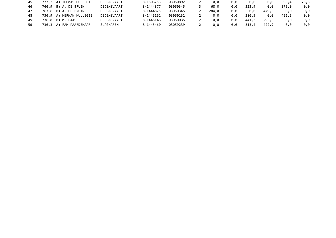| 777.2 A)                      | DEDEMSVAART      | 8-1503753                          | 03050892 | 0.0   | 0.0 | 0.0   | 0.0   | 398,4 | 378,8 |
|-------------------------------|------------------|------------------------------------|----------|-------|-----|-------|-------|-------|-------|
| B) A. DE BRUIN<br>766.9       | DEDEMSVAART      | 8-1444877                          | 03050345 | 68.0  | 0.0 | 323,9 | 0.0   | 375.0 | 0.0   |
| B) A. DE BRUIN<br>763.6       | DEDEMSVAART      | 8-1444875                          | 03050345 | 284.0 | 0.0 | 0.0   | 479.5 | 0.0   | 0,0   |
| 736.9<br>A)                   | DEDEMSVAART      | 8-1445162                          | 03050132 | 0.0   | 0.0 | 280,5 | 0.0   | 456.5 | 0,0   |
| M. BAAS<br>736.8<br>B)        | DEDEMSVAART      | 8-1445146                          | 03050035 | 0.0   | 0.0 | 441.3 | 295,5 | 0.0   | 0.0   |
| FAM PAARDEHAAR<br>736.3<br>A) | <b>SLAGHAREN</b> | 8-1445460                          | 03059239 | 0.0   | 0.0 | 313,4 | 422,9 | 0.0   | 0.0   |
|                               |                  | THOMAS HULLEGIE<br>HERMAN HULLEGIE |          |       |     |       |       |       |       |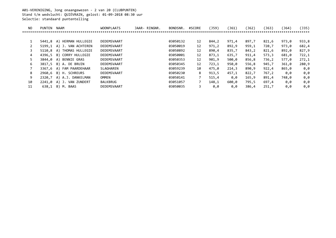A01-VERENIGING, Jong onaangewezen - 2 van 20 (CLUBPUNTEN) Stand t/m wedvlucht: QUIÉVRAIN, gelost: 01-09-2018 08:30 uur Selectie: standaard puntentelling

| NO | <b>PUNTEN</b> | <b>NAAM</b>           | <b>WOONPLAATS</b> | JAAR- RINGNR. | BONDSNR. | #SCORE | (J59) | 〔J61〕 | (J62) | (J63) | ์ J64) | $($ J35) |
|----|---------------|-----------------------|-------------------|---------------|----------|--------|-------|-------|-------|-------|--------|----------|
|    |               |                       |                   |               |          |        |       |       |       |       |        | *****    |
|    |               |                       |                   |               |          |        |       |       |       |       |        |          |
|    | 5441.8        | HERMAN HULLEGIE<br>A) | DEDEMSVAART       |               | 03050132 | 12     | 844,2 | 971,4 | 897,7 | 821,6 | 973,0  | 933,8    |
| ∠  | 5199,1        | A) J. VAN ACHTEREN    | DEDEMSVAART       |               | 03050019 | 12     | 971,2 | 892,9 | 959,1 | 720,7 | 973,0  | 682,4    |
|    | 5110.8        | A) THOMAS HULLEGIE    | DEDEMSVAART       |               | 03050892 | 12     | 890,4 | 835,7 | 843,2 | 821,6 | 892,0  | 827,9    |
| 4  | 4396.5        | B) CORRY HULLEGIE     | DEDEMSVAART       |               | 03050001 | 12     | 873,1 | 635,7 | 911,4 | 573.3 | 681,0  | 722,1    |
|    | 3844,0        | A) BENNIE GRAS        | DEDEMSVAART       |               | 03050353 | 12     | 901,9 | 500,0 | 856,8 | 736,2 | 577,0  | 272,1    |
| 6  | 3817.5        | B) A. DE BRUIN        | DEDEMSVAART       |               | 03050345 | 12     | 723,1 | 950.0 | 556,8 | 945,7 | 361,0  | 280,9    |
|    | 3367.6        | A) FAM PAARDEHAAR     | SLAGHAREN         |               | 03059239 | 10     | 475,0 | 214,3 | 890,9 | 922,4 | 865,0  | 0,0      |
| 8  | 2960,6        | B) H. SCHREURS        | DEDEMSVAART       |               | 03050230 | 8      | 913,5 | 457,1 | 822,7 | 767,2 | 0,0    | 0,0      |
| 9  | 2320.7        | A) A.J. DANKELMAN     | <b>OMMEN</b>      |               | 03050141 |        | 515,4 | 0.0   | 165,9 | 891,4 | 748,0  | 0,0      |
| 10 | 2241.0        | A) J. VAN ZUNDERT     | <b>BALKBRUG</b>   |               | 03051057 |        | 148,1 | 600,0 | 795,5 | 697,4 | 0,0    | 0,0      |
| 11 | 638,1         | B) M. BAAS            | DEDEMSVAART       |               | 03050035 |        | 0,0   | 0,0   | 386,4 | 251,7 | 0,0    | 0,0      |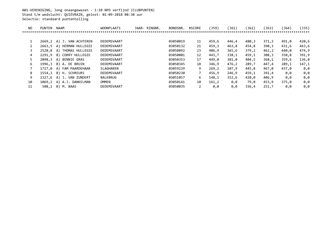A01-VERENIGING, Jong onaangewezen - 1:10 NPO verfijnd (CLUBPUNTEN) Stand t/m wedvlucht: QUIÉVRAIN, gelost: 01-09-2018 08:30 uur Selectie: standaard puntentelling

| NO. | <b>PUNTEN</b> | <b>NAAM</b>           | <b>WOONPLAATS</b> | JAAR- RINGNR. | BONDSNR. | #SCORE | (J59) | (J61) | (J62) | (J63) | 〔J64〕 | $($ J35) |
|-----|---------------|-----------------------|-------------------|---------------|----------|--------|-------|-------|-------|-------|-------|----------|
|     |               |                       |                   |               |          |        |       |       |       |       |       |          |
|     |               |                       |                   |               |          |        |       |       |       |       |       |          |
|     | 2669.2        | A) J. VAN ACHTEREN    | DEDEMSVAART       |               | 03050019 | 11     | 459,6 | 446,4 | 480,3 | 371,3 | 491,0 | 420,6    |
| 2   | 2663,5        | HERMAN HULLEGIE<br>A) | DEDEMSVAART       |               | 03050132 | 21     | 459,3 | 463,8 | 454,8 | 390,3 | 431,6 | 463,6    |
|     | 2528.8        | A) THOMAS HULLEGIE    | DEDEMSVAART       |               | 03050892 | 23     | 406,9 | 365,6 | 379,2 | 462,2 | 440,0 | 474,9    |
| 4   | 2291.9        | CORRY HULLEGIE<br>B)  | DEDEMSVAART       |               | 03050001 | 12     | 443,7 | 338,1 | 459,1 | 308,3 | 350,8 | 391,9    |
| 5   | 2098.3        | A) BENNIE GRAS        | DEDEMSVAART       |               | 03050353 | 17     | 449,0 | 381,0 | 404,5 | 368,1 | 359,6 | 136,0    |
| 6   | 1996.3        | B) A. DE BRUIN        | DEDEMSVAART       |               | 03050345 | 18     | 346,9 | 476,2 | 289,7 | 447,4 | 289,1 | 147,1    |
|     | 1727.0        | A) FAM PAARDEHAAR     | SLAGHAREN         |               | 03059239 | 9      | 269,2 | 107,9 | 445,8 | 467,0 | 437,0 | 0,0      |
| 8   | 1554,3        | B) H. SCHREURS        | DEDEMSVAART       |               | 03050230 |        | 456,9 | 246,9 | 459,1 | 391,4 | 0,0   | 0,0      |
| 9   | 1327.6        | A) J. VAN ZUNDERT     | <b>BALKBRUG</b>   |               | 03051057 | 6      | 148,1 | 352,6 | 420,0 | 406,9 | 0,0   | 0,0      |
| 10  | 1069.2        | A) A.J. DANKELMAN     | OMMEN             |               | 03050141 | 10     | 161,2 | 0,0   | 79,0  | 453,9 | 375,0 | 0,0      |
| 11  | 588,1         | B) M. BAAS            | DEDEMSVAART       |               | 03050035 |        | 0,0   | 0,0   | 336,4 | 251,7 | 0,0   | 0,0      |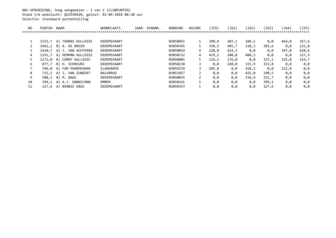A01-VERENIGING, Jong aangewezen - 1 van 2 (CLUBPUNTEN) Stand t/m wedvlucht: QUIÉVRAIN, gelost: 01-09-2018 08:30 uur Selectie: standaard puntentelling

| NO | <b>PUNTEN</b> | <b>NAAM</b>           | <b>WOONPLAATS</b> | JAAR- RINGNR. | BONDSNR. | #SCORE | (J59) | 〔J61〕 | (J62) | (J63) | ์ J64) | $($ J35) |
|----|---------------|-----------------------|-------------------|---------------|----------|--------|-------|-------|-------|-------|--------|----------|
|    |               |                       |                   |               |          |        |       |       |       |       |        |          |
|    |               |                       |                   |               |          |        |       |       |       |       |        |          |
|    | 1533.7        | THOMAS HULLEGIE<br>A) | DEDEMSVAART       |               | 03050892 |        | 390,4 | 207,1 | 104,5 | 0,0   | 464,0  | 367,6    |
| ∠  | 1461,1        | B) A. DE BRUIN        | DEDEMSVAART       |               | 03050345 |        | 338,5 | 485,7 | 128,3 | 383,6 | 0,0    | 125,0    |
|    | 1410.7        | A) J. VAN ACHTEREN    | DEDEMSVAART       |               | 03050019 | 4      | 228,8 | 414,3 | 0,0   | 0,0   | 347,0  | 420,6    |
| 4  | 1351.7        | HERMAN HULLEGIE<br>A) | DEDEMSVAART       |               | 03050132 | 4      | 419,2 | 200,0 | 404,5 | 0,0   | 0.0    | 327,9    |
|    | 1272.0        | B) CORRY HULLEGIE     | DEDEMSVAART       |               | 03050001 |        | 119,2 | 176,0 | 0,0   | 337,1 | 325,0  | 314,7    |
| 6  | 877.7         | B) H. SCHREURS        | DEDEMSVAART       |               | 03050230 |        | 0,0   | 248,0 | 315,9 | 313,8 | 0,0    | 0,0      |
|    | 746.0         | A) FAM PAARDEHAAR     | SLAGHAREN         |               | 03059239 | 3      | 205,8 | 0,0   | 418,2 | 0,0   | 122,0  | 0,0      |
| 8  | 715.5         | A) J. VAN ZUNDERT     | <b>BALKBRUG</b>   |               | 03051057 |        | 0,0   | 0,0   | 425,0 | 290.5 | 0,0    | 0,0      |
| 9  | 588.1         | B) M. BAAS            | DEDEMSVAART       |               | 03050035 | 2      | 0,0   | 0,0   | 336,4 | 251,7 | 0,0    | 0,0      |
| 10 | 399,1         | A) A.J. DANKELMAN     | OMMEN             |               | 03050141 |        | 0,0   | 0,0   | 0,0   | 399,1 | 0,0    | 0,0      |
| 11 | 127,6         | BENNIE GRAS<br>A)     | DEDEMSVAART       |               | 03050353 |        | 0,0   | 0,0   | 0,0   | 127,6 | 0,0    | 0,0      |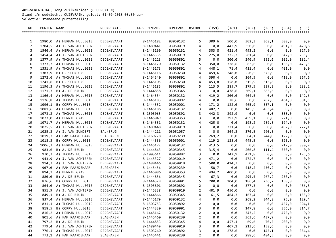A01-VERENIGING, Jong duifkampioen (CLUBPUNTEN) Stand t/m wedvlucht: QUIÉVRAIN, gelost: 01-09-2018 08:30 uur Selectie: standaard puntentelling

| NO.            | PUNTEN | NAAM                      | <b>WOONPLAATS</b> | JAAR- RINGNR. | BONDSNR.             | #SCORE         | $($ J59) | $($ 161)          | $($ 162) | $($ 163) | $($ 164)                           | (J35) |
|----------------|--------|---------------------------|-------------------|---------------|----------------------|----------------|----------|-------------------|----------|----------|------------------------------------|-------|
|                |        |                           |                   |               | ******************** |                |          | ***************** |          |          | ********************************** |       |
| $\mathbf{1}$   | 1980,0 | A) HERMAN HULLEGIE        | DEDEMSVAART       | 8-1445182     | 03050132             | 5              | 309,6    | 500,0             | 302,3    | 368,1    | 500,0                              | 0,0   |
| $\overline{2}$ | 1704,5 | A) J. VAN ACHTEREN        | DEDEMSVAART       | 8-1489441     | 03050019             | 4              | 0,0      | 442,9             | 350,0    | 0,0      | 491,0                              | 420,6 |
| 3              | 1546,4 | A) HERMAN HULLEGIE        | DEDEMSVAART       | 8-1445169     | 03050132             | 4              | 303,8    | 421,4             | 493,2    | 0,0      | 0,0                                | 327,9 |
| 4              |        | 1454,4 A) J. VAN ACHTEREN | DEDEMSVAART       | 8-1445335     | 03050019             | 5              | 275,0    | 335,7             | 261,4    | 0,0      | 347,0                              | 235,3 |
| 5              | 1377,9 | A) THOMAS HULLEGIE        | DEDEMSVAART       | 8-1445223     | 03050892             | 5              | 0,0      | 300,0             | 240,9    | 352,6    | 302,0                              | 182,4 |
| 6              | 1373,7 | A) HERMAN HULLEGIE        | DEDEMSVAART       | 8-1445170     | 03050132             | 5              | 350,0    | 328,6             | 63,6     | 0,0      | 158,0                              | 473,5 |
| $\overline{7}$ | 1331,9 | A) THOMAS HULLEGIE        | DEDEMSVAART       | 8-1445173     | 03050892             | 4              | 448,1    | 71,4              | 411,4    | 0,0      | 401,0                              | 0,0   |
| 8              | 1303,9 | B) H. SCHREURS            | DEDEMSVAART       | 8-1445116     | 03050230             | 4              | 459,6    | 248,0             | 220,5    | 375,9    | 0,0                                | 0,0   |
| 9              | 1272,6 | A) THOMAS HULLEGIE        | DEDEMSVAART       | 8-1464540     | 03050892             | 4              | 390,4    | 0,0               | 104,5    | 0,0      | 410,0                              | 367,6 |
| 10             | 1241,6 | B) H. SCHREURS            | DEDEMSVAART       | 8-1445105     | 03050230             | 4              | 453,8    | 158,0             | 315,9    | 313,8    | 0,0                                | 0,0   |
| 11             | 1196,3 | A) THOMAS HULLEGIE        | DEDEMSVAART       | 8-1445185     | 03050892             | 5              | 113,5    | 285,7             | 179,5    | 329,3    | 0,0                                | 288,2 |
| 12             | 1171,3 | B) A. DE BRUIN            | DEDEMSVAART       | 8-1444858     | 03050345             | 3              | 0,0      | 478,6             | 309,1    | 383,6    | 0,0                                | 0,0   |
| 13             | 1166,4 | A) HERMAN HULLEGIE        | DEDEMSVAART       | 8-1464534     | 03050132             | 4              | 419,2    | 200,0             | 404,5    | 0,0      | 0,0                                | 142,6 |
| 14             | 1126,8 | A) THOMAS HULLEGIE        | DEDEMSVAART       | 8-1445183     | 03050892             | 4              | 0,0      | 78,6              | 0,0      | 282,8    | 464,0                              | 301,5 |
| 15             | 1096,1 | B) CORRY HULLEGIE         | DEDEMSVAART       | 8-1444332     | 03050001             | 4              | 171,2    | 122,0             | 465,9    | 337,1    | 0,0                                | 0,0   |
| 16             | 1081,6 | A) HERMAN HULLEGIE        | DEDEMSVAART       | 8-1445186     | 03050132             | 3              | 482,7    | 0,0               | 145,5    | 453,4    | 0,0                                | 0,0   |
| 17             | 1073,2 | A) THOMAS HULLEGIE        | DEDEMSVAART       | 8-1503065     | 03050892             | 3              | 442,3    | 292,9             | 0,0      | 0,0      | 338,0                              | 0,0   |
| 18             | 1073,0 | A) BENNIE GRAS            | DEDEMSVAART       | 8-1445049     | 03050353             | 3              | 0,0      | 392,9             | 459,1    | 0,0      | 221,0                              | 0,0   |
| 19             | 1071,7 | A) HERMAN HULLEGIE        | DEDEMSVAART       | 8-1464551     | 03050132             | 4              | 425,0    | 0,0               | 193, 2   | 259,5    | 194,0                              | 0,0   |
| 20             | 1025,5 | A) J. VAN ACHTEREN        | DEDEMSVAART       | 8-1489448     | 03050019             | 3              | 0,0      | 321,4             | 0,0      | 0,0      | 482,0                              | 222,1 |
| 21             | 1025,3 | A) J. VAN ZUNDERT         | BALKBRUG          | 8-1444211     | 03051057             | 3              | 0,0      | 364,3             | 370,5    | 290,5    | 0,0                                | 0,0   |
| 22             |        | 1019,3 A) FAM PAARDEHAAR  | SLAGHAREN         | 8-5169778     | 03059239             | 4              | 269,2    | 0,0               | 384,1    | 244,0    | 122,0                              | 0,0   |
| 23             | 1018,3 | B) CORRY HULLEGIE         | DEDEMSVAART       | 8-1444336     | 03050001             | 4              | 119,2    | 128,6             | 445,5    | 0,0      | 325,0                              | 0,0   |
| 24             | 1006,3 | A) HERMAN HULLEGIE        | DEDEMSVAART       | 8-1445172     | 03050132             | 3              | 413,5    | 0,0               | 0,0      | 0,0      | 212,0                              | 380,9 |
| 25             | 983,6  | B) A. DE BRUIN            | DEDEMSVAART       | 8-1444863     | 03050345             | 4              | 315,4    | 0,0               | 206,8    | 111,4    | 350,0                              | 0,0   |
| 26             | 970,3  | A) THOMAS HULLEGIE        | DEDEMSVAART       | 8-1003611     | 03050892             | 3              | 0,0      | 342,9             | 431,8    | 0,0      | 0,0                                | 195,6 |
| 27             | 943,9  | A) J. VAN ACHTEREN        | DEDEMSVAART       | 8-1445327     | 03050019             | 2              | 471,2    | 0,0               | 472,7    | 0,0      | 0,0                                | 0,0   |
| 28             | 914,3  | A) J. VAN ACHTEREN        | DEDEMSVAART       | 8-1489446     | 03050019             | 2              | 500,0    | 414,3             | 0,0      | 0,0      | 0,0                                | 0,0   |
| 29             | 907,0  | A) FAM PAARDEHAAR         | SLAGHAREN         | 8-1445456     | 03059239             | 3              | 58,7     | 0,0               | 418,2    | 430,2    | 0,0                                | 0,0   |
| 30             | 894,2  | A) BENNIE GRAS            | DEDEMSVAART       | 8-1445086     | 03050353             | $\overline{2}$ | 494,2    | 400,0             | 0,0      | 0,0      | 0,0                                | 0,0   |
| 31             | 880,0  | B) A. DE BRUIN            | DEDEMSVAART       | 8-1444856     | 03050345             | 4              | 67,3     | 0,0               | 295,5    | 267,2    | 250,0                              | 0,0   |
| 32             | 876,6  | B) CORRY HULLEGIE         | DEDEMSVAART       | 8-1444329     | 03050001             | 5              | 200,0    | 104,0             | 186,4    | 236,2    | 150,0                              | 0,0   |
| 33             | 864,0  | A) THOMAS HULLEGIE        | DEDEMSVAART       | 8-1595801     | 03050892             | 2              | 0,0      | 0,0               | 377,3    | 0,0      | 0,0                                | 486,8 |
| 34             | 851,9  | A) J. VAN ACHTEREN        | DEDEMSVAART       | 8-1445338     | 03050019             | 2              | 401,9    | 450,0             | 0,0      | 0,0      | 0,0                                | 0,0   |
| 35             | 849,1  | B) A. DE BRUIN            | DEDEMSVAART       | 8-1444866     | 03050345             | 4              | 61,5     | 464,3             | 167,4    | 0,0      | 0,0                                | 155,9 |
| 36             | 837,4  | A) HERMAN HULLEGIE        | DEDEMSVAART       | 8-1445179     | 03050132             | 4              | 0,0      | 0,0               | 268,2    | 344,8    | 95,0                               | 129,4 |
| 37             | 831,1  | A) THOMAS HULLEGIE        | DEDEMSVAART       | 8-1503753     | 03050892             | $\overline{2}$ | 0,0      | 0,0               | 0,0      | 0,0      | 437,0                              | 394,1 |
| 38             |        | 818,5 B) CORRY HULLEGIE   | DEDEMSVAART       | 8-1444330     | 03050001             | 3              | 0,0      | 0,0               | 147,8    | 0,0      | 356,0                              | 314,7 |
| 39             | 816,2  | A) HERMAN HULLEGIE        | DEDEMSVAART       | 8-1445162     | 03050132             | 2              | 0,0      | 0,0               | 343,2    | 0,0      | 473,0                              | 0,0   |
| 40             |        | 801,6 A) FAM PAARDEHAAR   | SLAGHAREN         | 8-1445460     | 03059239             | 2              | 0,0      | 0,0               | 363,6    | 437,9    | 0,0                                | 0,0   |
| 41             |        | 797,2 B) A. DE BRUIN      | DEDEMSVAART       | 8-1444853     | 03050345             | 4              | 0,0      | 457,1             | 69,6     | 70,5     | 200,0                              | 0,0   |
| 42             |        | 779,4 A) J. VAN ACHTEREN  | DEDEMSVAART       | 8-1489449     | 03050019             | 3              | 0,0      | 407,1             | 213,6    | 158,6    | 0,0                                | 0,0   |
| 43             |        | 776,1 A) THOMAS HULLEGIE  | DEDEMSVAART       | 8-1503260     | 03050892             | 3              | 0,0      | 278,6             | 0,0      | 143,1    | 0,0                                | 354,4 |
| 44             |        | 773,1 A) FAM PAARDEHAAR   | SLAGHAREN         | 8-1445441     | 03059239             | $\mathbf{2}$   | 0,0      | 0,0               | 288,6    | 484,5    | 0,0                                | 0,0   |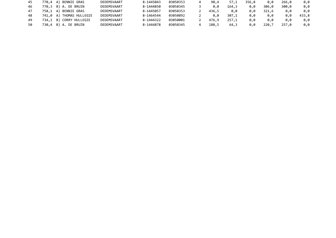| 45 | BENNIE GRAS<br>770.4<br>A)  | DEDEMSVAART | 8-1445043 | 03050353 | 90.4  | 57.1  | 356.8 | 0.0   | 266,0 | 0.0   |
|----|-----------------------------|-------------|-----------|----------|-------|-------|-------|-------|-------|-------|
| 46 | 770,3 B) A. DE BRUIN        | DEDEMSVAART | 8-1444850 | 03050345 | 0.0   | 164.3 | 0.0   | 306.0 | 300,0 | 0.0   |
| 47 | BENNIE GRAS<br>758.1 A)     | DEDEMSVAART | 8-1445057 | 03050353 | 436.5 | 0.0   | 0.0   | 321,6 | 0.0   | 0.0   |
| 48 | THOMAS HULLEGIE<br>741.0 A) | DEDEMSVAART | 8-1464544 | 03050892 | 0.0   | 307,1 | 0.0   | 0.0   |       | 433,8 |
| 49 | CORRY HULLEGIE<br>734.1 B)  | DEDEMSVAART | 8-1444322 | 03050001 | 476.9 | 257.1 | 0.0   | 0.0   | 0.0   | 0.0   |
| 50 | 730,4 B) A. DE BRUIN        | DEDEMSVAART | 8-1444878 | 03050345 | 188.5 | 64,3  | 0.0   | 220,7 | 257,0 | 0,0   |